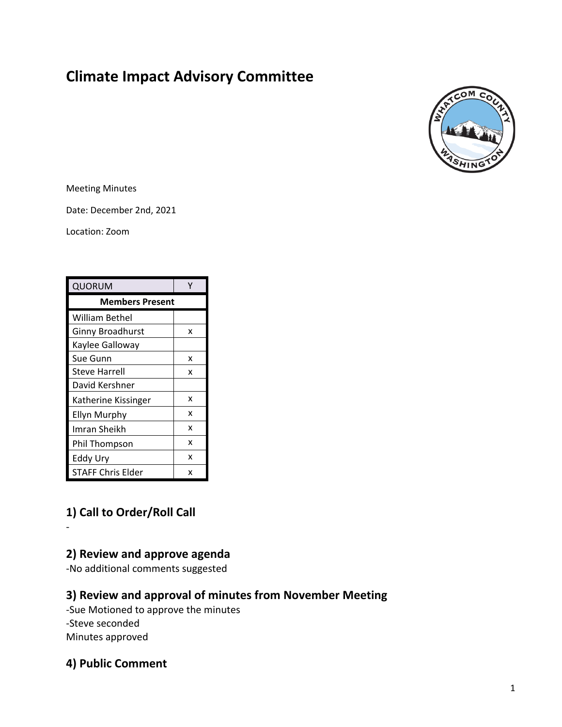# **Climate Impact Advisory Committee**



Meeting Minutes

Date: December 2nd, 2021

Location: Zoom

| QUORUM                   |   |
|--------------------------|---|
| <b>Members Present</b>   |   |
| William Bethel           |   |
| <b>Ginny Broadhurst</b>  | x |
| Kaylee Galloway          |   |
| Sue Gunn                 | x |
| Steve Harrell            | x |
| David Kershner           |   |
| Katherine Kissinger      | x |
| <b>Ellyn Murphy</b>      | x |
| Imran Sheikh             | x |
| Phil Thompson            | x |
| Eddy Ury                 | x |
| <b>STAFF Chris Elder</b> | x |

# **1) Call to Order/Roll Call**

-

**2) Review and approve agenda** 

-No additional comments suggested

### **3) Review and approval of minutes from November Meeting**

-Sue Motioned to approve the minutes -Steve seconded Minutes approved

### **4) Public Comment**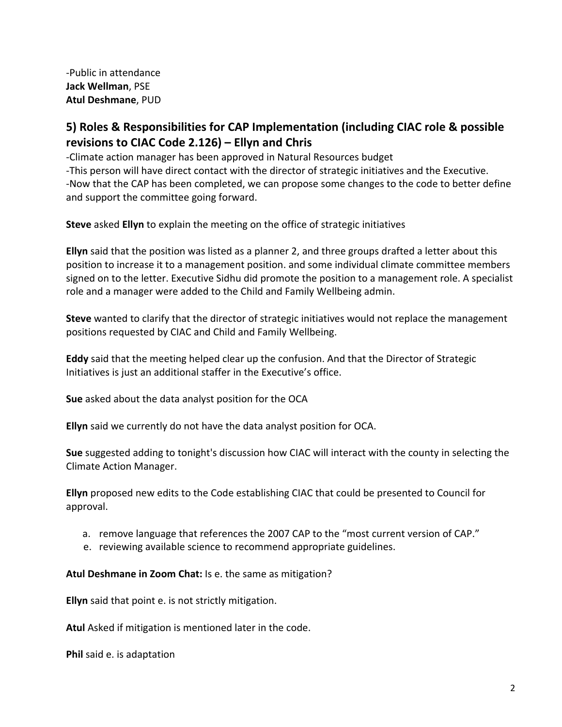-Public in attendance **Jack Wellman**, PSE **Atul Deshmane**, PUD

### **5) Roles & Responsibilities for CAP Implementation (including CIAC role & possible revisions to CIAC Code 2.126) – Ellyn and Chris**

-Climate action manager has been approved in Natural Resources budget

-This person will have direct contact with the director of strategic initiatives and the Executive. -Now that the CAP has been completed, we can propose some changes to the code to better define and support the committee going forward.

**Steve** asked **Ellyn** to explain the meeting on the office of strategic initiatives

**Ellyn** said that the position was listed as a planner 2, and three groups drafted a letter about this position to increase it to a management position. and some individual climate committee members signed on to the letter. Executive Sidhu did promote the position to a management role. A specialist role and a manager were added to the Child and Family Wellbeing admin.

**Steve** wanted to clarify that the director of strategic initiatives would not replace the management positions requested by CIAC and Child and Family Wellbeing.

**Eddy** said that the meeting helped clear up the confusion. And that the Director of Strategic Initiatives is just an additional staffer in the Executive's office.

**Sue** asked about the data analyst position for the OCA

**Ellyn** said we currently do not have the data analyst position for OCA.

**Sue** suggested adding to tonight's discussion how CIAC will interact with the county in selecting the Climate Action Manager.

**Ellyn** proposed new edits to the Code establishing CIAC that could be presented to Council for approval.

- a. remove language that references the 2007 CAP to the "most current version of CAP."
- e. reviewing available science to recommend appropriate guidelines.

**Atul Deshmane in Zoom Chat:** Is e. the same as mitigation?

**Ellyn** said that point e. is not strictly mitigation.

**Atul** Asked if mitigation is mentioned later in the code.

**Phil** said e. is adaptation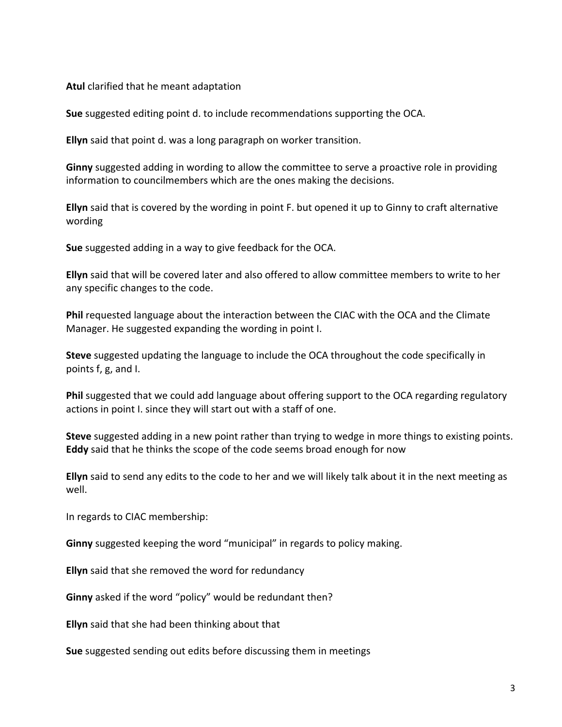#### **Atul** clarified that he meant adaptation

**Sue** suggested editing point d. to include recommendations supporting the OCA.

**Ellyn** said that point d. was a long paragraph on worker transition.

**Ginny** suggested adding in wording to allow the committee to serve a proactive role in providing information to councilmembers which are the ones making the decisions.

**Ellyn** said that is covered by the wording in point F. but opened it up to Ginny to craft alternative wording

**Sue** suggested adding in a way to give feedback for the OCA.

**Ellyn** said that will be covered later and also offered to allow committee members to write to her any specific changes to the code.

**Phil** requested language about the interaction between the CIAC with the OCA and the Climate Manager. He suggested expanding the wording in point I.

**Steve** suggested updating the language to include the OCA throughout the code specifically in points f, g, and I.

**Phil** suggested that we could add language about offering support to the OCA regarding regulatory actions in point I. since they will start out with a staff of one.

**Steve** suggested adding in a new point rather than trying to wedge in more things to existing points. **Eddy** said that he thinks the scope of the code seems broad enough for now

**Ellyn** said to send any edits to the code to her and we will likely talk about it in the next meeting as well.

In regards to CIAC membership:

**Ginny** suggested keeping the word "municipal" in regards to policy making.

**Ellyn** said that she removed the word for redundancy

**Ginny** asked if the word "policy" would be redundant then?

**Ellyn** said that she had been thinking about that

**Sue** suggested sending out edits before discussing them in meetings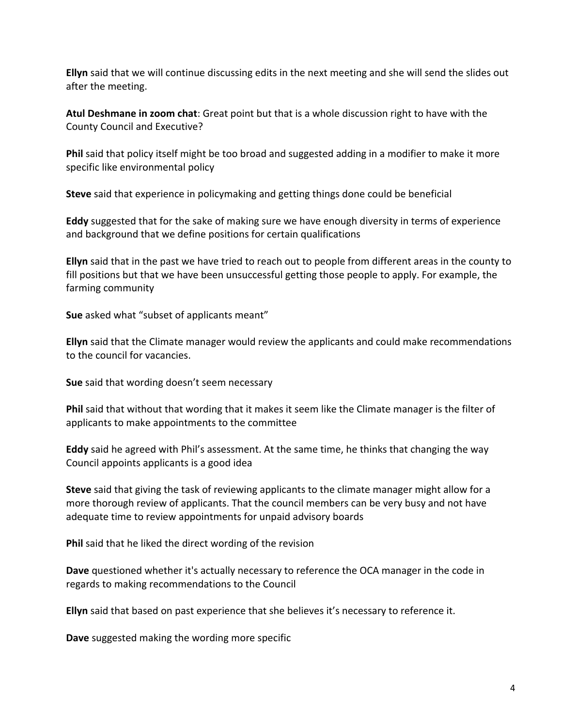**Ellyn** said that we will continue discussing edits in the next meeting and she will send the slides out after the meeting.

**Atul Deshmane in zoom chat**: Great point but that is a whole discussion right to have with the County Council and Executive?

**Phil** said that policy itself might be too broad and suggested adding in a modifier to make it more specific like environmental policy

**Steve** said that experience in policymaking and getting things done could be beneficial

**Eddy** suggested that for the sake of making sure we have enough diversity in terms of experience and background that we define positions for certain qualifications

**Ellyn** said that in the past we have tried to reach out to people from different areas in the county to fill positions but that we have been unsuccessful getting those people to apply. For example, the farming community

**Sue** asked what "subset of applicants meant"

**Ellyn** said that the Climate manager would review the applicants and could make recommendations to the council for vacancies.

**Sue** said that wording doesn't seem necessary

**Phil** said that without that wording that it makes it seem like the Climate manager is the filter of applicants to make appointments to the committee

**Eddy** said he agreed with Phil's assessment. At the same time, he thinks that changing the way Council appoints applicants is a good idea

**Steve** said that giving the task of reviewing applicants to the climate manager might allow for a more thorough review of applicants. That the council members can be very busy and not have adequate time to review appointments for unpaid advisory boards

**Phil** said that he liked the direct wording of the revision

**Dave** questioned whether it's actually necessary to reference the OCA manager in the code in regards to making recommendations to the Council

**Ellyn** said that based on past experience that she believes it's necessary to reference it.

**Dave** suggested making the wording more specific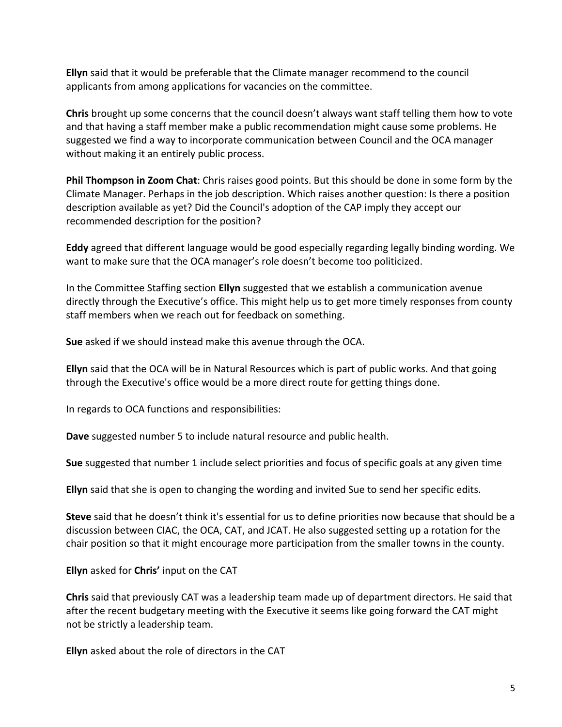**Ellyn** said that it would be preferable that the Climate manager recommend to the council applicants from among applications for vacancies on the committee.

**Chris** brought up some concerns that the council doesn't always want staff telling them how to vote and that having a staff member make a public recommendation might cause some problems. He suggested we find a way to incorporate communication between Council and the OCA manager without making it an entirely public process.

**Phil Thompson in Zoom Chat**: Chris raises good points. But this should be done in some form by the Climate Manager. Perhaps in the job description. Which raises another question: Is there a position description available as yet? Did the Council's adoption of the CAP imply they accept our recommended description for the position?

**Eddy** agreed that different language would be good especially regarding legally binding wording. We want to make sure that the OCA manager's role doesn't become too politicized.

In the Committee Staffing section **Ellyn** suggested that we establish a communication avenue directly through the Executive's office. This might help us to get more timely responses from county staff members when we reach out for feedback on something.

**Sue** asked if we should instead make this avenue through the OCA.

**Ellyn** said that the OCA will be in Natural Resources which is part of public works. And that going through the Executive's office would be a more direct route for getting things done.

In regards to OCA functions and responsibilities:

**Dave** suggested number 5 to include natural resource and public health.

**Sue** suggested that number 1 include select priorities and focus of specific goals at any given time

**Ellyn** said that she is open to changing the wording and invited Sue to send her specific edits.

**Steve** said that he doesn't think it's essential for us to define priorities now because that should be a discussion between CIAC, the OCA, CAT, and JCAT. He also suggested setting up a rotation for the chair position so that it might encourage more participation from the smaller towns in the county.

**Ellyn** asked for **Chris'** input on the CAT

**Chris** said that previously CAT was a leadership team made up of department directors. He said that after the recent budgetary meeting with the Executive it seems like going forward the CAT might not be strictly a leadership team.

**Ellyn** asked about the role of directors in the CAT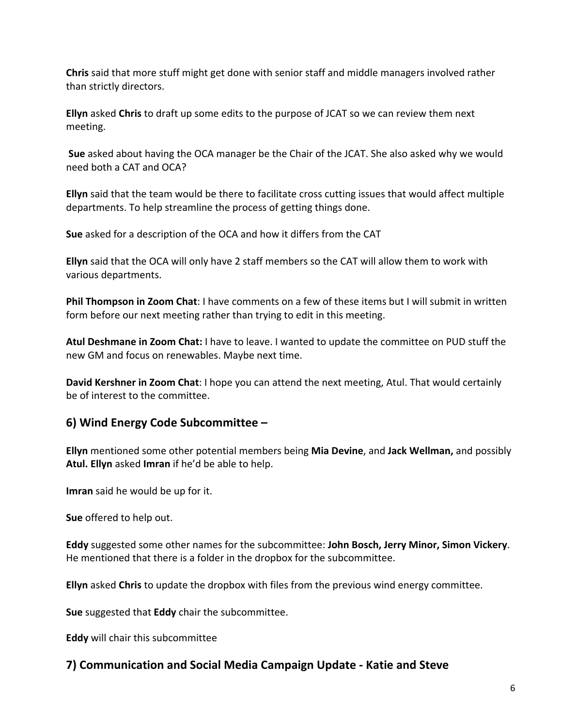**Chris** said that more stuff might get done with senior staff and middle managers involved rather than strictly directors.

**Ellyn** asked **Chris** to draft up some edits to the purpose of JCAT so we can review them next meeting.

**Sue** asked about having the OCA manager be the Chair of the JCAT. She also asked why we would need both a CAT and OCA?

**Ellyn** said that the team would be there to facilitate cross cutting issues that would affect multiple departments. To help streamline the process of getting things done.

**Sue** asked for a description of the OCA and how it differs from the CAT

**Ellyn** said that the OCA will only have 2 staff members so the CAT will allow them to work with various departments.

**Phil Thompson in Zoom Chat**: I have comments on a few of these items but I will submit in written form before our next meeting rather than trying to edit in this meeting.

**Atul Deshmane in Zoom Chat:** I have to leave. I wanted to update the committee on PUD stuff the new GM and focus on renewables. Maybe next time.

**David Kershner in Zoom Chat**: I hope you can attend the next meeting, Atul. That would certainly be of interest to the committee.

# **6) Wind Energy Code Subcommittee –**

**Ellyn** mentioned some other potential members being **Mia Devine**, and **Jack Wellman,** and possibly **Atul. Ellyn** asked **Imran** if he'd be able to help.

**Imran** said he would be up for it.

**Sue** offered to help out.

**Eddy** suggested some other names for the subcommittee: **John Bosch, Jerry Minor, Simon Vickery**. He mentioned that there is a folder in the dropbox for the subcommittee.

**Ellyn** asked **Chris** to update the dropbox with files from the previous wind energy committee.

**Sue** suggested that **Eddy** chair the subcommittee.

**Eddy** will chair this subcommittee

# **7) Communication and Social Media Campaign Update - Katie and Steve**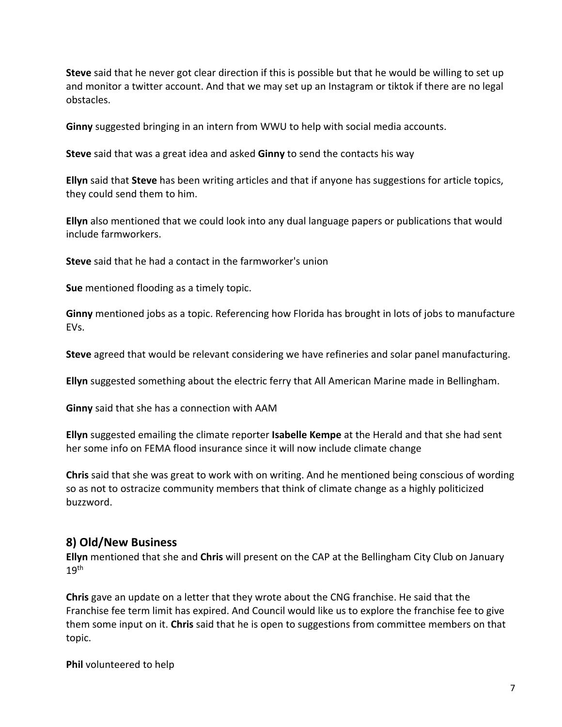**Steve** said that he never got clear direction if this is possible but that he would be willing to set up and monitor a twitter account. And that we may set up an Instagram or tiktok if there are no legal obstacles.

**Ginny** suggested bringing in an intern from WWU to help with social media accounts.

**Steve** said that was a great idea and asked **Ginny** to send the contacts his way

**Ellyn** said that **Steve** has been writing articles and that if anyone has suggestions for article topics, they could send them to him.

**Ellyn** also mentioned that we could look into any dual language papers or publications that would include farmworkers.

**Steve** said that he had a contact in the farmworker's union

**Sue** mentioned flooding as a timely topic.

**Ginny** mentioned jobs as a topic. Referencing how Florida has brought in lots of jobs to manufacture EVs.

**Steve** agreed that would be relevant considering we have refineries and solar panel manufacturing.

**Ellyn** suggested something about the electric ferry that All American Marine made in Bellingham.

**Ginny** said that she has a connection with AAM

**Ellyn** suggested emailing the climate reporter **Isabelle Kempe** at the Herald and that she had sent her some info on FEMA flood insurance since it will now include climate change

**Chris** said that she was great to work with on writing. And he mentioned being conscious of wording so as not to ostracize community members that think of climate change as a highly politicized buzzword.

### **8) Old/New Business**

**Ellyn** mentioned that she and **Chris** will present on the CAP at the Bellingham City Club on January 19th

**Chris** gave an update on a letter that they wrote about the CNG franchise. He said that the Franchise fee term limit has expired. And Council would like us to explore the franchise fee to give them some input on it. **Chris** said that he is open to suggestions from committee members on that topic.

**Phil** volunteered to help